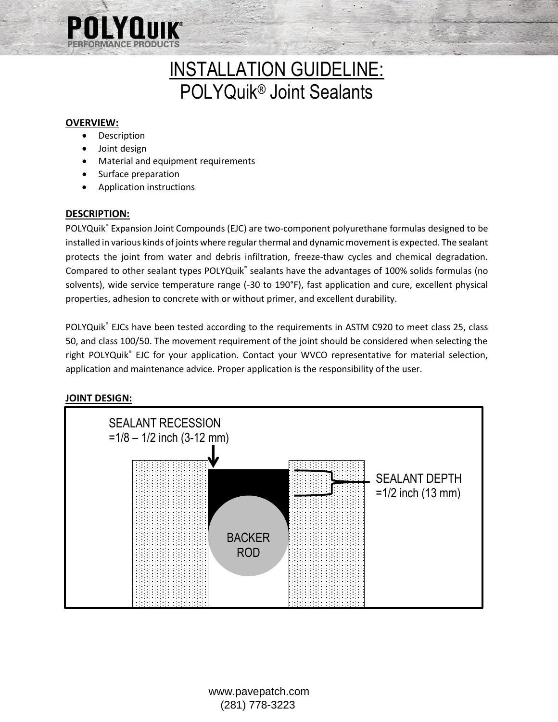

# INSTALLATION GUIDELINE: POLYQuik® Joint Sealants

## **OVERVIEW:**

- Description
- Joint design
- Material and equipment requirements
- Surface preparation
- Application instructions

#### **DESCRIPTION:**

POLYQuik® Expansion Joint Compounds (EJC) are two-component polyurethane formulas designed to be installed in various kinds of joints where regular thermal and dynamic movement is expected. The sealant protects the joint from water and debris infiltration, freeze-thaw cycles and chemical degradation. Compared to other sealant types POLYQuik® sealants have the advantages of 100% solids formulas (no solvents), wide service temperature range (-30 to 190°F), fast application and cure, excellent physical properties, adhesion to concrete with or without primer, and excellent durability.

POLYQuik® EJCs have been tested according to the requirements in ASTM C920 to meet class 25, class 50, and class 100/50. The movement requirement of the joint should be considered when selecting the right POLYQuik® EJC for your application. Contact your WVCO representative for material selection, application and maintenance advice. Proper application is the responsibility of the user.



## **JOINT DESIGN:**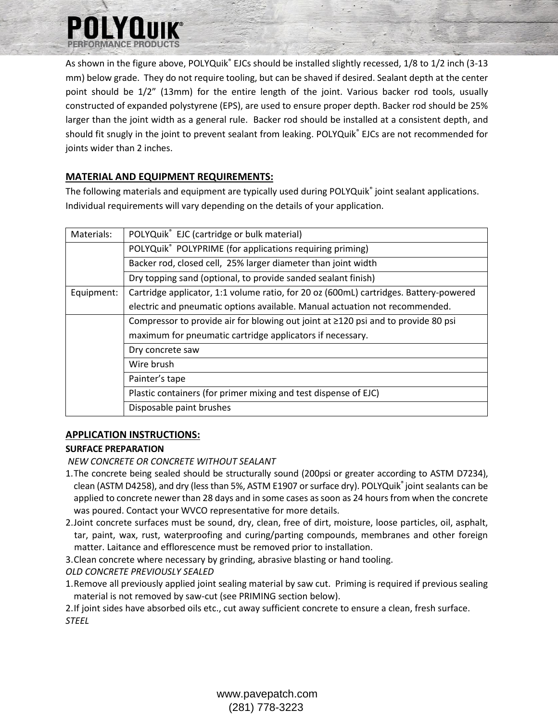

As shown in the figure above, POLYQuik® EJCs should be installed slightly recessed, 1/8 to 1/2 inch (3-13 mm) below grade. They do not require tooling, but can be shaved if desired. Sealant depth at the center point should be 1/2" (13mm) for the entire length of the joint. Various backer rod tools, usually constructed of expanded polystyrene (EPS), are used to ensure proper depth. Backer rod should be 25% larger than the joint width as a general rule. Backer rod should be installed at a consistent depth, and should fit snugly in the joint to prevent sealant from leaking. POLYQuik® EJCs are not recommended for joints wider than 2 inches.

# **MATERIAL AND EQUIPMENT REQUIREMENTS:**

The following materials and equipment are typically used during POLYQuik® joint sealant applications. Individual requirements will vary depending on the details of your application.

| Materials: | POLYQuik® EJC (cartridge or bulk material)                                              |
|------------|-----------------------------------------------------------------------------------------|
|            | POLYQuik® POLYPRIME (for applications requiring priming)                                |
|            | Backer rod, closed cell, 25% larger diameter than joint width                           |
|            | Dry topping sand (optional, to provide sanded sealant finish)                           |
| Equipment: | Cartridge applicator, 1:1 volume ratio, for 20 oz (600mL) cartridges. Battery-powered   |
|            | electric and pneumatic options available. Manual actuation not recommended.             |
|            | Compressor to provide air for blowing out joint at $\geq 120$ psi and to provide 80 psi |
|            | maximum for pneumatic cartridge applicators if necessary.                               |
|            | Dry concrete saw                                                                        |
|            | Wire brush                                                                              |
|            | Painter's tape                                                                          |
|            | Plastic containers (for primer mixing and test dispense of EJC)                         |
|            | Disposable paint brushes                                                                |
|            |                                                                                         |

## **APPLICATION INSTRUCTIONS:**

## **SURFACE PREPARATION**

*NEW CONCRETE OR CONCRETE WITHOUT SEALANT*

- 1.The concrete being sealed should be structurally sound (200psi or greater according to ASTM D7234), clean (ASTM D4258), and dry (less than 5%, ASTM E1907 or surface dry). POLYQuik® joint sealants can be applied to concrete newer than 28 days and in some cases as soon as 24 hours from when the concrete was poured. Contact your WVCO representative for more details.
- 2.Joint concrete surfaces must be sound, dry, clean, free of dirt, moisture, loose particles, oil, asphalt, tar, paint, wax, rust, waterproofing and curing/parting compounds, membranes and other foreign matter. Laitance and efflorescence must be removed prior to installation.
- 3.Clean concrete where necessary by grinding, abrasive blasting or hand tooling.

*OLD CONCRETE PREVIOUSLY SEALED*

1.Remove all previously applied joint sealing material by saw cut. Priming is required if previous sealing material is not removed by saw-cut (see PRIMING section below).

2.If joint sides have absorbed oils etc., cut away sufficient concrete to ensure a clean, fresh surface. *STEEL*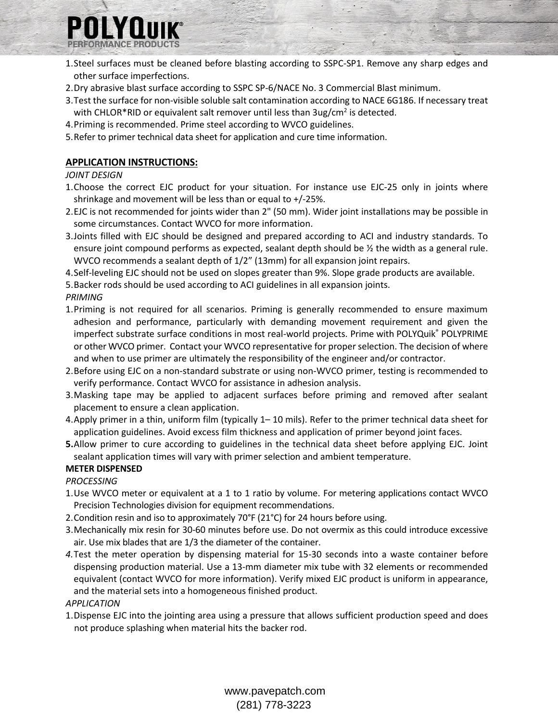

- 1.Steel surfaces must be cleaned before blasting according to SSPC-SP1. Remove any sharp edges and other surface imperfections.
- 2.Dry abrasive blast surface according to SSPC SP-6/NACE No. 3 Commercial Blast minimum.
- 3.Test the surface for non-visible soluble salt contamination according to NACE 6G186. If necessary treat with CHLOR\*RID or equivalent salt remover until less than 3ug/cm<sup>2</sup> is detected.
- 4.Priming is recommended. Prime steel according to WVCO guidelines.
- 5.Refer to primer technical data sheet for application and cure time information.

## **APPLICATION INSTRUCTIONS:**

#### *JOINT DESIGN*

- 1.Choose the correct EJC product for your situation. For instance use EJC-25 only in joints where shrinkage and movement will be less than or equal to +/-25%.
- 2.EJC is not recommended for joints wider than 2" (50 mm). Wider joint installations may be possible in some circumstances. Contact WVCO for more information.
- 3.Joints filled with EJC should be designed and prepared according to ACI and industry standards. To ensure joint compound performs as expected, sealant depth should be ½ the width as a general rule. WVCO recommends a sealant depth of 1/2" (13mm) for all expansion joint repairs.
- 4.Self-leveling EJC should not be used on slopes greater than 9%. Slope grade products are available.

5.Backer rods should be used according to ACI guidelines in all expansion joints. *PRIMING*

- 1.Priming is not required for all scenarios. Priming is generally recommended to ensure maximum adhesion and performance, particularly with demanding movement requirement and given the imperfect substrate surface conditions in most real-world projects. Prime with POLYQuik® POLYPRIME or other WVCO primer. Contact your WVCO representative for proper selection. The decision of where and when to use primer are ultimately the responsibility of the engineer and/or contractor.
- 2.Before using EJC on a non-standard substrate or using non-WVCO primer, testing is recommended to verify performance. Contact WVCO for assistance in adhesion analysis.
- 3.Masking tape may be applied to adjacent surfaces before priming and removed after sealant placement to ensure a clean application.
- 4.Apply primer in a thin, uniform film (typically 1– 10 mils). Refer to the primer technical data sheet for application guidelines. Avoid excess film thickness and application of primer beyond joint faces.
- **5.**Allow primer to cure according to guidelines in the technical data sheet before applying EJC. Joint sealant application times will vary with primer selection and ambient temperature.

#### **METER DISPENSED**

#### *PROCESSING*

- 1.Use WVCO meter or equivalent at a 1 to 1 ratio by volume. For metering applications contact WVCO Precision Technologies division for equipment recommendations.
- 2.Condition resin and iso to approximately 70°F (21°C) for 24 hours before using.
- 3.Mechanically mix resin for 30-60 minutes before use. Do not overmix as this could introduce excessive air. Use mix blades that are 1/3 the diameter of the container.
- *4.*Test the meter operation by dispensing material for 15-30 seconds into a waste container before dispensing production material. Use a 13-mm diameter mix tube with 32 elements or recommended equivalent (contact WVCO for more information). Verify mixed EJC product is uniform in appearance, and the material sets into a homogeneous finished product.

#### *APPLICATION*

1.Dispense EJC into the jointing area using a pressure that allows sufficient production speed and does not produce splashing when material hits the backer rod.

> www.pavepatch.com (281) 778-3223